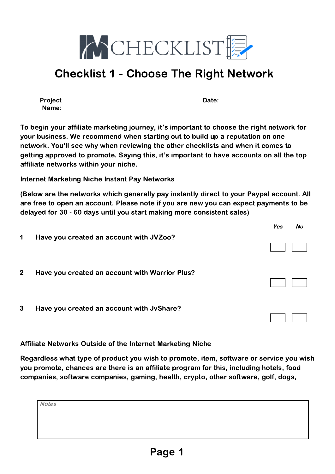

Project Name: Date:

To begin your affiliate marketing journey, it's important to choose the right network for your business. We recommend when starting out to build up a reputation on one network. You'll see why when reviewing the other checklists and when it comes to getting approved to promote. Saying this, it's important to have accounts on all the top affiliate networks within your niche.

Internet Marketing Niche Instant Pay Networks

(Below are the networks which generally pay instantly direct to your Paypal account. All are free to open an account. Please note if you are new you can expect payments to be delayed for 30 - 60 days until you start making more consistent sales)

|              |                                                | Yes | Nο |
|--------------|------------------------------------------------|-----|----|
| 1            | Have you created an account with JVZoo?        |     |    |
| $\mathbf{2}$ | Have you created an account with Warrior Plus? |     |    |
| $\mathbf{3}$ | Have you created an account with JvShare?      |     |    |

Affiliate Networks Outside of the Internet Marketing Niche

Regardless what type of product you wish to promote, item, software or service you wish you promote, chances are there is an affiliate program for this, including hotels, food companies, software companies, gaming, health, crypto, other software, golf, dogs,

| Notes |  |  |  |
|-------|--|--|--|
|       |  |  |  |
|       |  |  |  |
|       |  |  |  |
|       |  |  |  |
|       |  |  |  |
|       |  |  |  |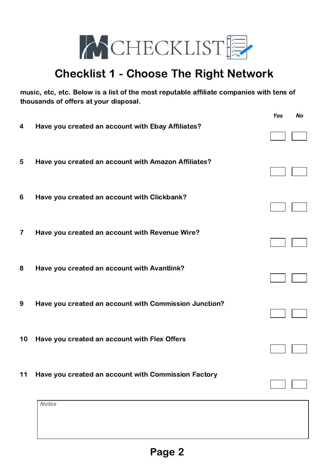

music, etc, etc. Below is a list of the most reputable affiliate companies with tens of thousands of offers at your disposal.

|                         |                                                       | Yes | No |
|-------------------------|-------------------------------------------------------|-----|----|
| $\overline{\mathbf{4}}$ | Have you created an account with Ebay Affiliates?     |     |    |
| 5                       | Have you created an account with Amazon Affiliates?   |     |    |
| 6                       | Have you created an account with Clickbank?           |     |    |
| $\overline{\mathbf{7}}$ | Have you created an account with Revenue Wire?        |     |    |
| 8                       | Have you created an account with Avantlink?           |     |    |
| 9                       | Have you created an account with Commission Junction? |     |    |
| 10                      | Have you created an account with Flex Offers          |     |    |
| 11                      | Have you created an account with Commission Factory   |     |    |
|                         | <b>Notes</b>                                          |     |    |
|                         |                                                       |     |    |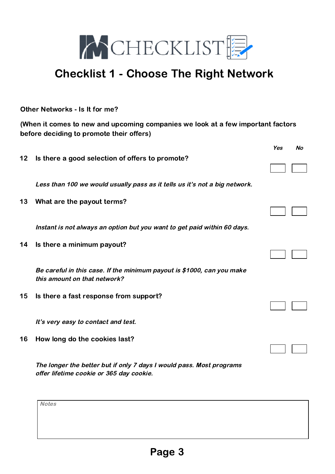

Other Networks - Is It for me?

(When it comes to new and upcoming companies we look at a few important factors before deciding to promote their offers)

|    |                                                                                                        | Yes | No |
|----|--------------------------------------------------------------------------------------------------------|-----|----|
| 12 | Is there a good selection of offers to promote?                                                        |     |    |
|    | Less than 100 we would usually pass as it tells us it's not a big network.                             |     |    |
| 13 | What are the payout terms?                                                                             |     |    |
|    | Instant is not always an option but you want to get paid within 60 days.                               |     |    |
| 14 | Is there a minimum payout?                                                                             |     |    |
|    | Be careful in this case. If the minimum payout is \$1000, can you make<br>this amount on that network? |     |    |
| 15 | Is there a fast response from support?                                                                 |     |    |
|    | It's very easy to contact and test.                                                                    |     |    |
| 16 | How long do the cookies last?                                                                          |     |    |
|    | The longer the better but if only 7 days I would pass. Most programs                                   |     |    |

offer lifetime cookie or 365 day cookie.

**Notes**